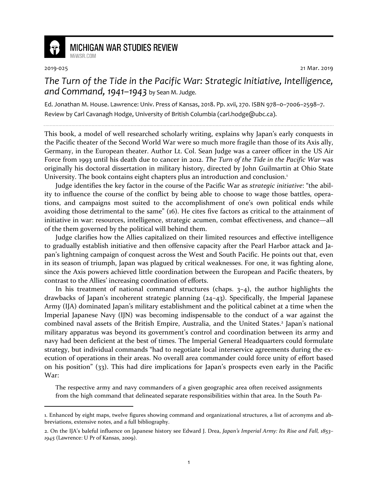

## **MICHIGAN WAR STUDIES REVIEW** MiWSR COM

1

2019-025 21 Mar. 2019

## *The Turn of the Tide in the Pacific War: Strategic Initiative, Intelligence, and Command, 1941–1943* by Sean M. Judge.

Ed. Jonathan M. House. Lawrence: Univ. Press of Kansas, 2018. Pp. xvii, 270. ISBN 978–0–7006–2598–7. Review by Carl Cavanagh Hodge, University of British Columbia (carl.hodge@ubc.ca).

This book, a model of well researched scholarly writing, explains why Japan's early conquests in the Pacific theater of the Second World War were so much more fragile than those of its Axis ally, Germany, in the European theater. Author Lt. Col. Sean Judge was a career officer in the US Air Force from 1993 until his death due to cancer in 2012. *The Turn of the Tide in the Pacific War* was originally his doctoral dissertation in military history, directed by John Guilmartin at Ohio State University. The book contains eight chapters plus an introduction and conclusion.<sup>1</sup>

Judge identifies the key factor in the course of the Pacific War as *strategic initiative*: "the ability to influence the course of the conflict by being able to choose to wage those battles, operations, and campaigns most suited to the accomplishment of one's own political ends while avoiding those detrimental to the same" (16). He cites five factors as critical to the attainment of initiative in war: resources, intelligence, strategic acumen, combat effectiveness, and chance—all of the them governed by the political will behind them.

Judge clarifies how the Allies capitalized on their limited resources and effective intelligence to gradually establish initiative and then offensive capacity after the Pearl Harbor attack and Japan's lightning campaign of conquest across the West and South Pacific. He points out that, even in its season of triumph, Japan was plagued by critical weaknesses. For one, it was fighting alone, since the Axis powers achieved little coordination between the European and Pacific theaters, by contrast to the Allies' increasing coordination of efforts.

In his treatment of national command structures (chaps.  $3-4$ ), the author highlights the drawbacks of Japan's incoherent strategic planning (24–43). Specifically, the Imperial Japanese Army (IJA) dominated Japan's military establishment and the political cabinet at a time when the Imperial Japanese Navy (IJN) was becoming indispensable to the conduct of a war against the combined naval assets of the British Empire, Australia, and the United States.<sup>2</sup> Japan's national military apparatus was beyond its government's control and coordination between its army and navy had been deficient at the best of times. The Imperial General Headquarters could formulate strategy, but individual commands "had to negotiate local interservice agreements during the execution of operations in their areas. No overall area commander could force unity of effort based on his position" (33). This had dire implications for Japan's prospects even early in the Pacific War:

The respective army and navy commanders of a given geographic area often received assignments from the high command that delineated separate responsibilities within that area. In the South Pa-

<sup>1.</sup> Enhanced by eight maps, twelve figures showing command and organizational structures, a list of acronyms and abbreviations, extensive notes, and a full bibliography.

<sup>2.</sup> On the IJA's baleful influence on Japanese history see Edward J. Drea, *Japan's Imperial Army: Its Rise and Fall, 1853– 1945* (Lawrence: U Pr of Kansas, 2009).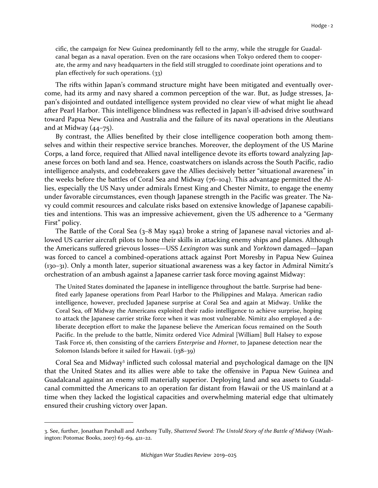cific, the campaign for New Guinea predominantly fell to the army, while the struggle for Guadalcanal began as a naval operation. Even on the rare occasions when Tokyo ordered them to cooperate, the army and navy headquarters in the field still struggled to coordinate joint operations and to plan effectively for such operations. (33)

The rifts within Japan's command structure might have been mitigated and eventually overcome, had its army and navy shared a common perception of the war. But, as Judge stresses, Japan's disjointed and outdated intelligence system provided no clear view of what might lie ahead after Pearl Harbor. This intelligence blindness was reflected in Japan's ill-advised drive southward toward Papua New Guinea and Australia and the failure of its naval operations in the Aleutians and at Midway  $(44-75)$ .

By contrast, the Allies benefited by their close intelligence cooperation both among themselves and within their respective service branches. Moreover, the deployment of the US Marine Corps, a land force, required that Allied naval intelligence devote its efforts toward analyzing Japanese forces on both land and sea. Hence, coastwatchers on islands across the South Pacific, radio intelligence analysts, and codebreakers gave the Allies decisively better "situational awareness" in the weeks before the battles of Coral Sea and Midway (76–104). This advantage permitted the Allies, especially the US Navy under admirals Ernest King and Chester Nimitz, to engage the enemy under favorable circumstances, even though Japanese strength in the Pacific was greater. The Navy could commit resources and calculate risks based on extensive knowledge of Japanese capabilities and intentions. This was an impressive achievement, given the US adherence to a "Germany First" policy.

The Battle of the Coral Sea (3–8 May 1942) broke a string of Japanese naval victories and allowed US carrier aircraft pilots to hone their skills in attacking enemy ships and planes. Although the Americans suffered grievous losses—USS *Lexington* was sunk and *Yorktown* damaged—Japan was forced to cancel a combined-operations attack against Port Moresby in Papua New Guinea (130–31). Only a month later, superior situational awareness was a key factor in Admiral Nimitz's orchestration of an ambush against a Japanese carrier task force moving against Midway:

The United States dominated the Japanese in intelligence throughout the battle. Surprise had benefited early Japanese operations from Pearl Harbor to the Philippines and Malaya. American radio intelligence, however, precluded Japanese surprise at Coral Sea and again at Midway. Unlike the Coral Sea, off Midway the Americans exploited their radio intelligence to achieve surprise, hoping to attack the Japanese carrier strike force when it was most vulnerable. Nimitz also employed a deliberate deception effort to make the Japanese believe the American focus remained on the South Pacific. In the prelude to the battle, Nimitz ordered Vice Admiral [William] Bull Halsey to expose Task Force 16, then consisting of the carriers *Enterprise* and *Hornet*, to Japanese detection near the Solomon Islands before it sailed for Hawaii. (138–39)

Coral Sea and Midway<sup>3</sup> inflicted such colossal material and psychological damage on the IJN that the United States and its allies were able to take the offensive in Papua New Guinea and Guadalcanal against an enemy still materially superior. Deploying land and sea assets to Guadalcanal committed the Americans to an operation far distant from Hawaii or the US mainland at a time when they lacked the logistical capacities and overwhelming material edge that ultimately ensured their crushing victory over Japan.

1

<sup>3.</sup> See, further, Jonathan Parshall and Anthony Tully, *Shattered Sword: The Untold Story of the Battle of Midway* (Washington: Potomac Books, 2007) 63–69, 421–22.